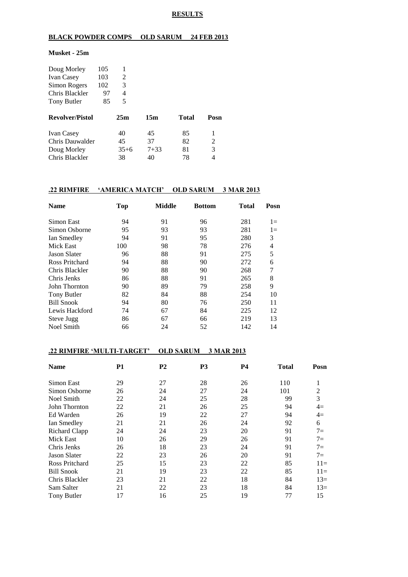#### **RESULTS**

## **BLACK POWDER COMPS OLD SARUM 24 FEB 2013**

#### **Musket - 25m**

| Doug Morley            | 105 | 1      |          |              |      |
|------------------------|-----|--------|----------|--------------|------|
| <b>Ivan Casey</b>      | 103 | 2      |          |              |      |
| Simon Rogers           | 102 | 3      |          |              |      |
| Chris Blackler         | 97  | 4      |          |              |      |
| Tony Butler            | 85  | 5      |          |              |      |
| <b>Revolver/Pistol</b> |     | 25m    | 15m      | <b>Total</b> | Posn |
| <b>Ivan Casey</b>      |     | 40     | 45       | 85           |      |
| Chris Dauwalder        |     | 45     | 37       | 82           | 2    |
| Doug Morley            |     | $35+6$ | $7 + 33$ | 81           | 3    |

Chris Blackler 38 40 78 4

### **.22 RIMFIRE 'AMERICA MATCH' OLD SARUM 3 MAR 2013**

| <b>Name</b>         | <b>Top</b> | <b>Middle</b> | <b>Bottom</b> | Total | Posn  |
|---------------------|------------|---------------|---------------|-------|-------|
| Simon East          | 94         | 91            | 96            | 281   | $1 =$ |
| Simon Osborne       | 95         | 93            | 93            | 281   | $1 =$ |
| Ian Smedley         | 94         | 91            | 95            | 280   | 3     |
| Mick East           | 100        | 98            | 78            | 276   | 4     |
| <b>Jason Slater</b> | 96         | 88            | 91            | 275   | 5     |
| Ross Pritchard      | 94         | 88            | 90            | 272   | 6     |
| Chris Blackler      | 90         | 88            | 90            | 268   | 7     |
| Chris Jenks         | 86         | 88            | 91            | 265   | 8     |
| John Thornton       | 90         | 89            | 79            | 258   | 9     |
| Tony Butler         | 82         | 84            | 88            | 254   | 10    |
| <b>Bill Snook</b>   | 94         | 80            | 76            | 250   | 11    |
| Lewis Hackford      | 74         | 67            | 84            | 225   | 12    |
| Steve Jugg          | 86         | 67            | 66            | 219   | 13    |
| Noel Smith          | 66         | 24            | 52            | 142   | 14    |

## **.22 RIMFIRE 'MULTI-TARGET' OLD SARUM 3 MAR 2013**

| <b>Name</b>         | P <sub>1</sub> | P <sub>2</sub> | P <sub>3</sub> | <b>P4</b> | <b>Total</b> | Posn           |
|---------------------|----------------|----------------|----------------|-----------|--------------|----------------|
| Simon East          | 29             | 27             | 28             | 26        | 110          | 1              |
| Simon Osborne       | 26             | 24             | 27             | 24        | 101          | $\overline{2}$ |
| Noel Smith          | 22             | 24             | 25             | 28        | 99           | 3              |
| John Thornton       | 22             | 21             | 26             | 25        | 94           | $4=$           |
| Ed Warden           | 26             | 19             | 22             | 27        | 94           | $4=$           |
| Ian Smedley         | 21             | 21             | 26             | 24        | 92           | 6              |
| Richard Clapp       | 24             | 24             | 23             | 20        | 91           | $7 =$          |
| Mick East           | 10             | 26             | 29             | 26        | 91           | $7=$           |
| Chris Jenks         | 26             | 18             | 23             | 24        | 91           | $7 =$          |
| <b>Jason Slater</b> | 22             | 23             | 26             | 20        | 91           | $7 =$          |
| Ross Pritchard      | 25             | 15             | 23             | 22        | 85           | $11=$          |
| <b>Bill Snook</b>   | 21             | 19             | 23             | 22        | 85           | $11=$          |
| Chris Blackler      | 23             | 21             | 22             | 18        | 84           | $13=$          |
| Sam Salter          | 21             | 22             | 23             | 18        | 84           | $13=$          |
| Tony Butler         | 17             | 16             | 25             | 19        | 77           | 15             |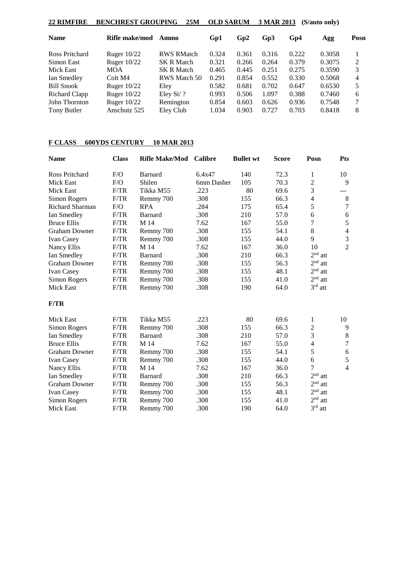| 22 RIMFIRE        | <b>BENCHREST GROUPING</b> | 25M               | <b>OLD SARUM</b> |       | 3 MAR 2013 |       | (S/auto only) |                |
|-------------------|---------------------------|-------------------|------------------|-------|------------|-------|---------------|----------------|
| <b>Name</b>       | Rifle make/mod            | Ammo              | Gp1              | Gp2   | Gp3        | Gp4   | Agg           | Posn           |
| Ross Pritchard    | Ruger $10/22$             | <b>RWS RMatch</b> | 0.324            | 0.361 | 0.316      | 0.222 | 0.3058        |                |
| Simon East        | Ruger $10/22$             | <b>SK R Match</b> | 0.321            | 0.266 | 0.264      | 0.379 | 0.3075        | $\mathfrak{D}$ |
| Mick East         | <b>MOA</b>                | <b>SK R Match</b> | 0.465            | 0.445 | 0.251      | 0.275 | 0.3590        | 3              |
| Ian Smedley       | Colt M4                   | RWS Match 50      | 0.291            | 0.854 | 0.552      | 0.330 | 0.5068        | 4              |
| <b>Bill Snook</b> | Ruger $10/22$             | Eley              | 0.582            | 0.681 | 0.702      | 0.647 | 0.6530        | 5              |
| Richard Clapp     | Ruger $10/22$             | Eley St $\ell$ ?  | 0.993            | 0.506 | 1.097      | 0.388 | 0.7460        | 6              |
| John Thornton     | Ruger $10/22$             | Remington         | 0.854            | 0.603 | 0.626      | 0.936 | 0.7548        | 7              |
| Tony Butler       | Anschutz 525              | Eley Club         | 1.034            | 0.903 | 0.727      | 0.703 | 0.8418        | 8              |

# **F CLASS 600YDS CENTURY 10 MAR 2013**

| <b>Name</b>          | <b>Class</b> | <b>Rifle Make/Mod</b> | <b>Calibre</b> | <b>Bullet wt</b> | <b>Score</b> | Posn           | <b>Pts</b>     |
|----------------------|--------------|-----------------------|----------------|------------------|--------------|----------------|----------------|
| Ross Pritchard       | F/O          | Barnard               | 6.4x47         | 140              | 72.3         | 1              | 10             |
| <b>Mick East</b>     | F/O          | Shilen                | 6mm Dasher     | 105              | 70.3         | $\overline{2}$ | 9              |
| <b>Mick East</b>     | F/TR         | Tikka M55             | .223           | 80               | 69.6         | 3              | ---            |
| Simon Rogers         | F/TR         | Remmy 700             | .308           | 155              | 66.3         | $\overline{4}$ | $\,8\,$        |
| Richard Sharman      | F/O          | <b>RPA</b>            | .284           | 175              | 65.4         | 5              | $\overline{7}$ |
| Ian Smedley          | F/TR         | <b>Barnard</b>        | .308           | 210              | 57.0         | 6              | $\sqrt{6}$     |
| <b>Bruce Ellis</b>   | F/TR         | M 14                  | 7.62           | 167              | 55.0         | 7              | $\sqrt{5}$     |
| <b>Graham Downer</b> | F/TR         | Remmy 700             | .308           | 155              | 54.1         | 8              | $\overline{4}$ |
| Ivan Casey           | F/TR         | Remmy 700             | .308           | 155              | 44.0         | 9              | $\mathfrak{Z}$ |
| Nancy Ellis          | F/TR         | M 14                  | 7.62           | 167              | 36.0         | 10             | $\overline{2}$ |
| Ian Smedley          | F/TR         | <b>Barnard</b>        | .308           | 210              | 66.3         | $2nd$ att      |                |
| <b>Graham Downer</b> | F/TR         | Remmy 700             | .308           | 155              | 56.3         | $2nd$ att      |                |
| Ivan Casey           | F/TR         | Remmy 700             | .308           | 155              | 48.1         | $2nd$ att      |                |
| Simon Rogers         | F/TR         | Remmy 700             | .308           | 155              | 41.0         | $2nd$ att      |                |
| Mick East            | F/TR         | Remmy 700             | .308           | 190              | 64.0         | $3rd$ att      |                |
| F/TR                 |              |                       |                |                  |              |                |                |
| Mick East            | F/TR         | Tikka M55             | .223           | 80               | 69.6         | $\mathbf{1}$   | 10             |
| Simon Rogers         | F/TR         | Remmy 700             | .308           | 155              | 66.3         | $\mathfrak{2}$ | 9              |
| Ian Smedley          | F/TR         | Barnard               | .308           | 210              | 57.0         | 3              | $\,$ 8 $\,$    |
| <b>Bruce Ellis</b>   | F/TR         | M 14                  | 7.62           | 167              | 55.0         | $\overline{4}$ | $\tau$         |
| <b>Graham Downer</b> | F/TR         | Remmy 700             | .308           | 155              | 54.1         | 5              | $\sqrt{6}$     |
| Ivan Casey           | F/TR         | Remmy 700             | .308           | 155              | 44.0         | 6              | $\sqrt{5}$     |
| Nancy Ellis          | F/TR         | M 14                  | 7.62           | 167              | 36.0         | 7              | $\overline{4}$ |
| Ian Smedley          | F/TR         | <b>Barnard</b>        | .308           | 210              | 66.3         | $2nd$ att      |                |
| <b>Graham Downer</b> | F/TR         | Remmy 700             | .308           | 155              | 56.3         | $2nd$ att      |                |
| Ivan Casey           | F/TR         | Remmy 700             | .308           | 155              | 48.1         | $2nd$ att      |                |
| Simon Rogers         | F/TR         | Remmy 700             | .308           | 155              | 41.0         | $2nd$ att      |                |
| <b>Mick East</b>     | F/TR         | Remmy 700             | .308           | 190              | 64.0         | $3rd$ att      |                |